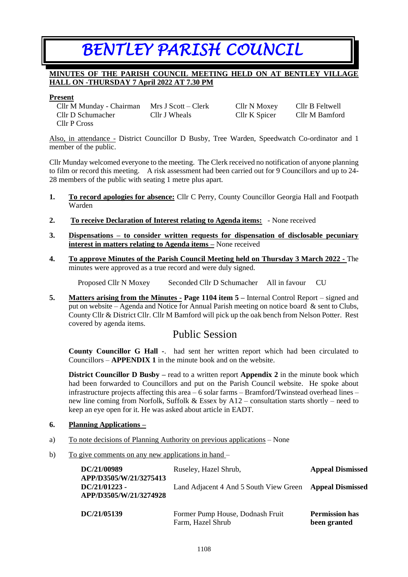# *BENTLEY PARISH COUNCIL*

### **MINUTES OF THE PARISH COUNCIL MEETING HELD ON AT BENTLEY VILLAGE HALL ON -THURSDAY 7 April 2022 AT 7.30 PM**

#### **Present**

Cllr M Munday - Chairman Mrs J Scott – Clerk Cllr N Moxey Cllr B Feltwell Cllr D Schumacher Cllr J Wheals Cllr K Spicer Cllr M Bamford Cllr P Cross

Also, in attendance - District Councillor D Busby, Tree Warden, Speedwatch Co-ordinator and 1 member of the public.

Cllr Munday welcomed everyone to the meeting. The Clerk received no notification of anyone planning to film or record this meeting. A risk assessment had been carried out for 9 Councillors and up to 24- 28 members of the public with seating 1 metre plus apart.

- **1. To record apologies for absence:** Cllr C Perry, County Councillor Georgia Hall and Footpath Warden
- **2. To receive Declaration of Interest relating to Agenda items:** None received
- **3. Dispensations – to consider written requests for dispensation of disclosable pecuniary interest in matters relating to Agenda items –** None received
- **4. To approve Minutes of the Parish Council Meeting held on Thursday 3 March 2022 -** The minutes were approved as a true record and were duly signed.

Proposed Cllr N Moxey Seconded Cllr D Schumacher All in favour CU

**5. Matters arising from the Minutes - Page 1104 item 5 –** Internal Control Report – signed and put on website – Agenda and Notice for Annual Parish meeting on notice board  $\&$  sent to Clubs, County Cllr & District Cllr. Cllr M Bamford will pick up the oak bench from Nelson Potter. Rest covered by agenda items.

## Public Session

**County Councillor G Hall -**. had sent her written report which had been circulated to Councillors – **APPENDIX 1** in the minute book and on the website.

**District Councillor D Busby** – read to a written report **Appendix 2** in the minute book which had been forwarded to Councillors and put on the Parish Council website. He spoke about infrastructure projects affecting this area – 6 solar farms – Bramford/Twinstead overhead lines – new line coming from Norfolk, Suffolk & Essex by A12 – consultation starts shortly – need to keep an eye open for it. He was asked about article in EADT.

#### **6. Planning Applications –**

- a) To note decisions of Planning Authority on previous applications None
- b) To give comments on any new applications in hand –

| DC/21/00989<br>APP/D3505/W/21/3275413<br>$DC/21/01223 -$<br>APP/D3505/W/21/3274928 | Ruseley, Hazel Shrub,<br>Land Adjacent 4 And 5 South View Green Appeal Dismissed | <b>Appeal Dismissed</b>               |
|------------------------------------------------------------------------------------|----------------------------------------------------------------------------------|---------------------------------------|
| DC/21/05139                                                                        | Former Pump House, Dodnash Fruit<br>Farm, Hazel Shrub                            | <b>Permission has</b><br>been granted |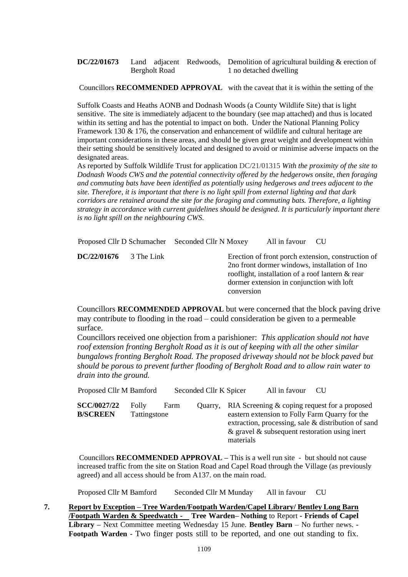**DC/22/01673** Land adjacent Redwoods, Demolition of agricultural building & erection of Bergholt Road 1 no detached dwelling

Councillors **RECOMMENDED APPROVAL** with the caveat that it is within the setting of the

Suffolk Coasts and Heaths AONB and Dodnash Woods (a County Wildlife Site) that is light sensitive. The site is immediately adjacent to the boundary (see map attached) and thus is located within its setting and has the potential to impact on both. Under the National Planning Policy Framework 130 & 176, the conservation and enhancement of wildlife and cultural heritage are important considerations in these areas, and should be given great weight and development within their setting should be sensitively located and designed to avoid or minimise adverse impacts on the designated areas.

As reported by Suffolk Wildlife Trust for application DC/21/01315 *With the proximity of the site to Dodnash Woods CWS and the potential connectivity offered by the hedgerows onsite, then foraging and commuting bats have been identified as potentially using hedgerows and trees adjacent to the site. Therefore, it is important that there is no light spill from external lighting and that dark corridors are retained around the site for the foraging and commuting bats. Therefore, a lighting strategy in accordance with current guidelines should be designed. It is particularly important there is no light spill on the neighbouring CWS.*

Proposed Cllr D Schumacher Seconded Cllr N Moxey All in favour CU

**DC/22/01676** 3 The Link Erection of front porch extension, construction of 2no front dormer windows, installation of 1no rooflight, installation of a roof lantern & rear dormer extension in conjunction with loft conversion

Councillors **RECOMMENDED APPROVAL** but were concerned that the block paving drive may contribute to flooding in the road – could consideration be given to a permeable surface.

Councillors received one objection from a parishioner: *This application should not have roof extension fronting Bergholt Road as it is out of keeping with all the other similar bungalows fronting Bergholt Road. The proposed driveway should not be block paved but should be porous to prevent further flooding of Bergholt Road and to allow rain water to drain into the ground.*

| Proposed Cllr M Bamford               |                       |      | Seconded Cllr K Spicer |           | All in favour | -CU                                                                                                                                                                                                        |
|---------------------------------------|-----------------------|------|------------------------|-----------|---------------|------------------------------------------------------------------------------------------------------------------------------------------------------------------------------------------------------------|
| <b>SCC/0027/22</b><br><b>B/SCREEN</b> | Folly<br>Tattingstone | Farm | Quarry.                | materials |               | RIA Screening & coping request for a proposed<br>eastern extension to Folly Farm Quarry for the<br>extraction, processing, sale & distribution of sand<br>& gravel $\&$ subsequent restoration using inert |

Councillors **RECOMMENDED APPROVAL –** This is a well run site - but should not cause increased traffic from the site on Station Road and Capel Road through the Village (as previously agreed) and all access should be from A137. on the main road.

Proposed Cllr M Bamford Seconded Cllr M Munday All in favour CU

**7. Report by Exception – Tree Warden/Footpath Warden/Capel Library/ Bentley Long Barn /Footpath Warden & Speedwatch - Tree Warden– Nothing** to Report **- Friends of Capel Library –** Next Committee meeting Wednesday 15 June. **Bentley Barn** – No further news. **- Footpath Warden -** Two finger posts still to be reported, and one out standing to fix.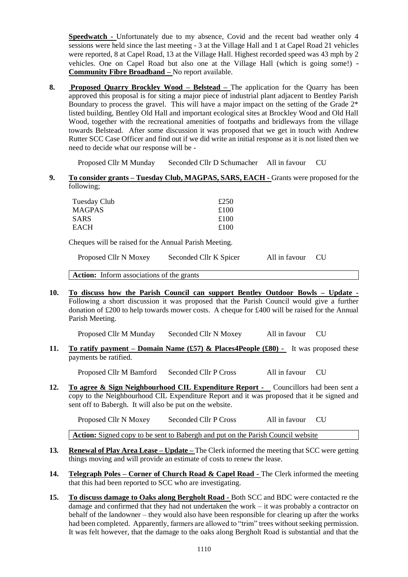**Speedwatch -** Unfortunately due to my absence, Covid and the recent bad weather only 4 sessions were held since the last meeting - 3 at the Village Hall and 1 at Capel Road 21 vehicles were reported, 8 at Capel Road, 13 at the Village Hall. Highest recorded speed was 43 mph by 2 vehicles. One on Capel Road but also one at the Village Hall (which is going some!) - **Community Fibre Broadband –** No report available.

**8. Proposed Quarry Brockley Wood – Belstead –** The application for the Quarry has been approved this proposal is for siting a major piece of industrial plant adjacent to Bentley Parish Boundary to process the gravel. This will have a major impact on the setting of the Grade 2\* listed building, Bentley Old Hall and important ecological sites at Brockley Wood and Old Hall Wood, together with the recreational amenities of footpaths and bridleways from the village towards Belstead. After some discussion it was proposed that we get in touch with Andrew Rutter SCC Case Officer and find out if we did write an initial response as it is not listed then we need to decide what our response will be -

Proposed Cllr M Munday Seconded Cllr D Schumacher All in favour CU

**9. To consider grants – Tuesday Club, MAGPAS, SARS, EACH -** Grants were proposed for the following;

| Tuesday Club | £250 |
|--------------|------|
| MAGPAS       | £100 |
| SARS         | £100 |
| EACH         | £100 |

Cheques will be raised for the Annual Parish Meeting.

| Proposed Cllr N Moxey | Seconded Cllr K Spicer | All in favour CU |  |
|-----------------------|------------------------|------------------|--|
|-----------------------|------------------------|------------------|--|

Action: Inform associations of the grants

**10. To discuss how the Parish Council can support Bentley Outdoor Bowls – Update -**  Following a short discussion it was proposed that the Parish Council would give a further donation of £200 to help towards mower costs. A cheque for £400 will be raised for the Annual Parish Meeting.

Proposed Cllr M Munday Seconded Cllr N Moxey All in favour CU

**11. To ratify payment – Domain Name (£57) & Places4People (£80) -** It was proposed these payments be ratified.

Proposed Cllr M Bamford Seconded Cllr P Cross All in favour CU

**12. To agree & Sign Neighbourhood CIL Expenditure Report -** Councillors had been sent a copy to the Neighbourhood CIL Expenditure Report and it was proposed that it be signed and sent off to Babergh. It will also be put on the website.

Proposed Cllr N Moxey Seconded Cllr P Cross All in favour CU

**Action:** Signed copy to be sent to Babergh and put on the Parish Council website

- **13***.* **Renewal of Play Area Lease – Update –** The Clerk informed the meeting that SCC were getting things moving and will provide an estimate of costs to renew the lease.
- **14. Telegraph Poles – Corner of Church Road & Capel Road -** The Clerk informed the meeting that this had been reported to SCC who are investigating.
- **15. To discuss damage to Oaks along Bergholt Road -** Both SCC and BDC were contacted re the damage and confirmed that they had not undertaken the work – it was probably a contractor on behalf of the landowner – they would also have been responsible for clearing up after the works had been completed. Apparently, farmers are allowed to "trim" trees without seeking permission. It was felt however, that the damage to the oaks along Bergholt Road is substantial and that the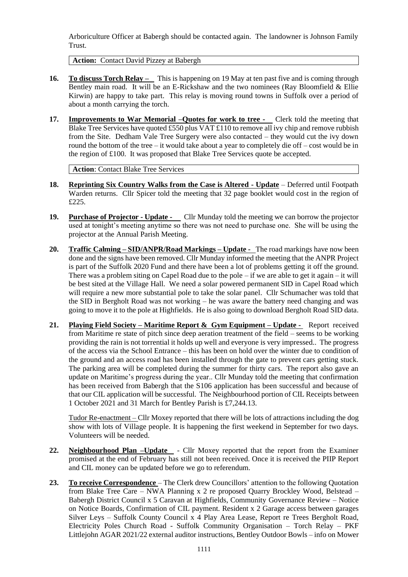Arboriculture Officer at Babergh should be contacted again. The landowner is Johnson Family Trust.

**Action:** Contact David Pizzey at Babergh

- **16. To discuss Torch Relay** This is happening on 19 May at ten past five and is coming through Bentley main road. It will be an E-Rickshaw and the two nominees (Ray Bloomfield & Ellie Kirwin) are happy to take part. This relay is moving round towns in Suffolk over a period of about a month carrying the torch.
- **17. Improvements to War Memorial –Quotes for work to tree** Clerk told the meeting that Blake Tree Services have quoted £550 plus VAT £110 to remove all ivy chip and remove rubbish from the Site. Dedham Vale Tree Surgery were also contacted – they would cut the ivy down round the bottom of the tree – it would take about a year to completely die off – cost would be in the region of £100. It was proposed that Blake Tree Services quote be accepted.

**Action**: Contact Blake Tree Services

- **18. Reprinting Six Country Walks from the Case is Altered - Update** Deferred until Footpath Warden returns. Cllr Spicer told the meeting that 32 page booklet would cost in the region of £225.
- **19. Purchase of Projector - Update** Cllr Munday told the meeting we can borrow the projector used at tonight's meeting anytime so there was not need to purchase one. She will be using the projector at the Annual Parish Meeting.
- **20. Traffic Calming – SID/ANPR/Road Markings – Update** The road markings have now been done and the signs have been removed. Cllr Munday informed the meeting that the ANPR Project is part of the Suffolk 2020 Fund and there have been a lot of problems getting it off the ground. There was a problem siting on Capel Road due to the pole  $-i$  f we are able to get it again  $-i$  twill be best sited at the Village Hall. We need a solar powered permanent SID in Capel Road which will require a new more substantial pole to take the solar panel. Cllr Schumacher was told that the SID in Bergholt Road was not working – he was aware the battery need changing and was going to move it to the pole at Highfields. He is also going to download Bergholt Road SID data.
- **21. Playing Field Society – Maritime Report & Gym Equipment – Update -** Report received from Maritime re state of pitch since deep aeration treatment of the field – seems to be working providing the rain is not torrential it holds up well and everyone is very impressed.. The progress of the access via the School Entrance – this has been on hold over the winter due to condition of the ground and an access road has been installed through the gate to prevent cars getting stuck. The parking area will be completed during the summer for thirty cars. The report also gave an update on Maritime's progress during the year.. Cllr Munday told the meeting that confirmation has been received from Babergh that the S106 application has been successful and because of that our CIL application will be successful. The Neighbourhood portion of CIL Receipts between 1 October 2021 and 31 March for Bentley Parish is £7,244.13.

Tudor Re-enactment – Cllr Moxey reported that there will be lots of attractions including the dog show with lots of Village people. It is happening the first weekend in September for two days. Volunteers will be needed.

- 22. **Neighbourhood Plan –Update** Cllr Moxey reported that the report from the Examiner promised at the end of February has still not been received. Once it is received the PIIP Report and CIL money can be updated before we go to referendum.
- **23. To receive Correspondence**  The Clerk drew Councillors' attention to the following Quotation from Blake Tree Care – NWA Planning x 2 re proposed Quarry Brockley Wood, Belstead – Babergh District Council x 5 Caravan at Highfields, Community Governance Review – Notice on Notice Boards, Confirmation of CIL payment. Resident x 2 Garage access between garages Silver Leys – Suffolk County Council x 4 Play Area Lease, Report re Trees Bergholt Road, Electricity Poles Church Road - Suffolk Community Organisation – Torch Relay – PKF Littlejohn AGAR 2021/22 external auditor instructions, Bentley Outdoor Bowls – info on Mower